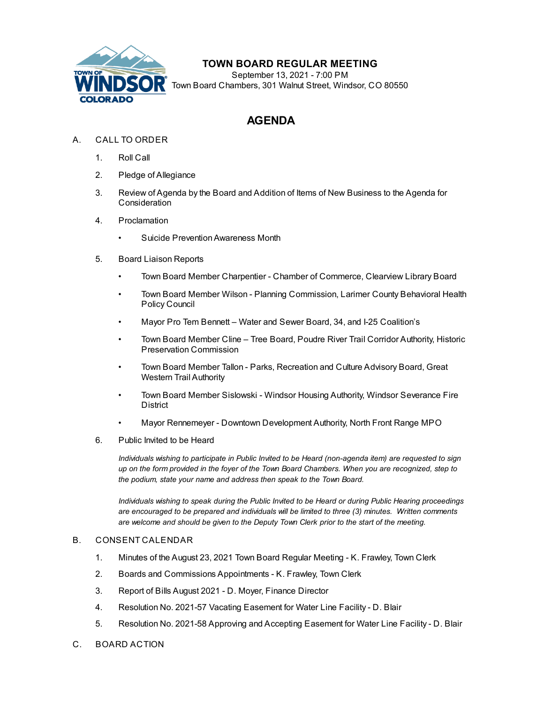

## **TOWN BOARD REGULAR MEETING**

September 13, 2021 - 7:00 PM Town Board Chambers, 301 Walnut Street, Windsor, CO 80550

## **AGENDA**

- A. CALL TO ORDER
	- 1. Roll Call
	- 2. Pledge of Allegiance
	- 3. Review of Agenda by the Board and Addition of Items of New Business to the Agenda for **Consideration**
	- 4. Proclamation
		- Suicide Prevention Awareness Month
	- 5. Board Liaison Reports
		- Town Board Member Charpentier Chamber of Commerce, Clearview Library Board
		- Town Board Member Wilson Planning Commission, Larimer County Behavioral Health Policy Council
		- Mayor Pro Tem Bennett Water and Sewer Board, 34, and I-25 Coalition's
		- Town Board Member Cline Tree Board, Poudre River Trail Corridor Authority, Historic Preservation Commission
		- Town Board Member Tallon Parks, Recreation and Culture Advisory Board, Great Western Trail Authority
		- Town Board Member Sislowski Windsor Housing Authority, Windsor Severance Fire **District**
		- Mayor Rennemeyer Downtown Development Authority, North Front Range MPO
	- 6. Public Invited to be Heard

*Individuals wishing to participate in Public Invited to be Heard (non-agenda item) are requested to sign* up on the form provided in the foyer of the Town Board Chambers. When you are recognized, step to *the podium, state your name and address then speak to the Town Board.*

*Individuals wishing to speak during the Public Invited to be Heard or during Public Hearing proceedings are encouraged to be prepared and individuals will be limited to three (3) minutes. Written comments are welcome and should be given to the Deputy Town Clerk prior to the start of the meeting.*

## B. CONSENT CALENDAR

- 1. Minutes of the August 23, 2021 Town Board Regular Meeting K. [Frawley,](file:///C:/Windows/TEMP/CoverSheet.aspx?ItemID=1629&MeetingID=258) Town Clerk
- 2. Boards and [Commissions](file:///C:/Windows/TEMP/CoverSheet.aspx?ItemID=1635&MeetingID=258) Appointments K. Frawley, Town Clerk
- 3. Report of Bills August 2021 D. Moyer, Finance [Director](file:///C:/Windows/TEMP/CoverSheet.aspx?ItemID=1638&MeetingID=258)
- 4. [Resolution](file:///C:/Windows/TEMP/CoverSheet.aspx?ItemID=1652&MeetingID=258) No. 2021-57 Vacating Easement for Water Line Facility D. Blair
- 5. [Resolution](file:///C:/Windows/TEMP/CoverSheet.aspx?ItemID=1653&MeetingID=258) No. 2021-58 Approving and Accepting Easement for Water Line Facility D. Blair
- C. BOARD ACTION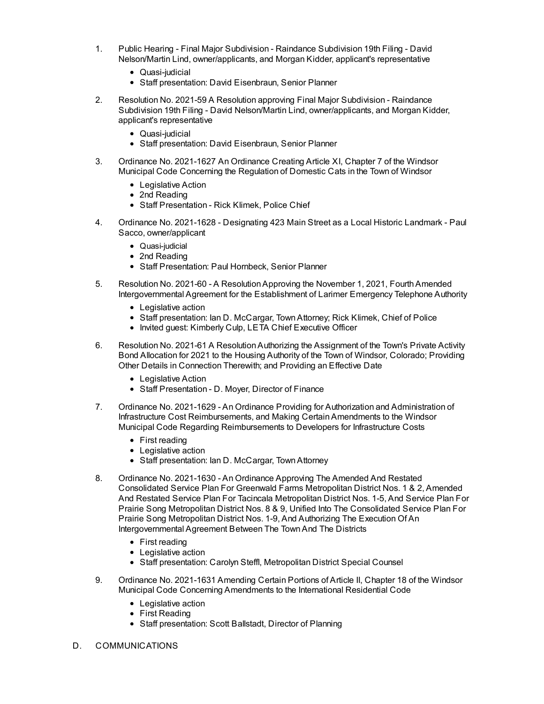- 1. Public Hearing Final Major Subdivision Raindance Subdivision 19th Filing David Nelson/Martin Lind, [owner/applicants,](file:///C:/Windows/TEMP/CoverSheet.aspx?ItemID=1640&MeetingID=258) and Morgan Kidder, applicant's representative
	- Quasi-judicial
	- Staff presentation: David Eisenbraun, Senior Planner
- 2. Resolution No. 2021-59 A Resolution approving Final Major Subdivision Raindance Subdivision 19th Filing - David Nelson/Martin Lind, [owner/applicants,](file:///C:/Windows/TEMP/CoverSheet.aspx?ItemID=1641&MeetingID=258) and Morgan Kidder, applicant's representative
	- Quasi-iudicial
	- Staff presentation: David Eisenbraun, Senior Planner
- 3. Ordinance No. [2021-1627](file:///C:/Windows/TEMP/CoverSheet.aspx?ItemID=1651&MeetingID=258) An Ordinance Creating Article XI, Chapter 7 of the Windsor Municipal Code Concerning the Regulation of Domestic Cats in the Town of Windsor
	- Legislative Action
	- 2nd Reading
	- Staff Presentation Rick Klimek, Police Chief
- 4. Ordinance No. 2021-1628 Designating 423 Main Street as a Local Historic Landmark Paul Sacco, [owner/applicant](file:///C:/Windows/TEMP/CoverSheet.aspx?ItemID=1642&MeetingID=258)
	- Quasi-iudicial
	- 2nd Reading
	- Staff Presentation: Paul Hornbeck, Senior Planner
- 5. Resolution No. 2021-60 A Resolution Approving the November 1, 2021, Fourth Amended Intergovernmental Agreement for the Establishment of Larimer Emergency Telephone Authority
	- Legislative action
	- Staff presentation: Ian D. McCargar, TownAttorney; Rick Klimek, Chief of Police
	- Invited guest: Kimberly Culp, LETA Chief Executive Officer
- 6. Resolution No. 2021-61 A Resolution Authorizing the Assignment of the Town's Private Activity Bond Allocation for 2021 to the Housing Authority of the Town of Windsor, Colorado; Providing Other Details in Connection Therewith; and Providing an Effective Date
	- Legislative Action
	- Staff Presentation D. Moyer, Director of Finance
- 7. Ordinance No. 2021-1629 An Ordinance Providing for Authorization and Administration of Infrastructure Cost Reimbursements, and Making [CertainAmendments](file:///C:/Windows/TEMP/CoverSheet.aspx?ItemID=1599&MeetingID=258) to the Windsor Municipal Code Regarding Reimbursements to Developers for Infrastructure Costs
	- First reading
	- Legislative action
	- Staff presentation: Ian D. McCargar, Town Attorney
- 8. Ordinance No. 2021-1630 An Ordinance Approving The Amended And Restated Consolidated Service Plan For Greenwald Farms Metropolitan District Nos. 1 & 2, Amended And Restated Service Plan For Tacincala Metropolitan District Nos. 1-5, And Service Plan For Prairie Song Metropolitan District Nos. 8 & 9, Unified Into The Consolidated Service Plan For Prairie Song Metropolitan District Nos. 1-9, And Authorizing The Execution Of An [Intergovernmental](file:///C:/Windows/TEMP/CoverSheet.aspx?ItemID=1644&MeetingID=258) Agreement Between The TownAnd The Districts
	- First reading
	- Legislative action
	- Staff presentation: Carolyn Steffl, Metropolitan District Special Counsel
- 9. Ordinance No. 2021-1631 Amending Certain Portions of Article II, Chapter 18 of the Windsor Municipal Code Concerning [Amendments](file:///C:/Windows/TEMP/CoverSheet.aspx?ItemID=1646&MeetingID=258) to the International Residential Code
	- Legislative action
	- First Reading
	- Staff presentation: Scott Ballstadt, Director of Planning
- D. COMMUNICATIONS